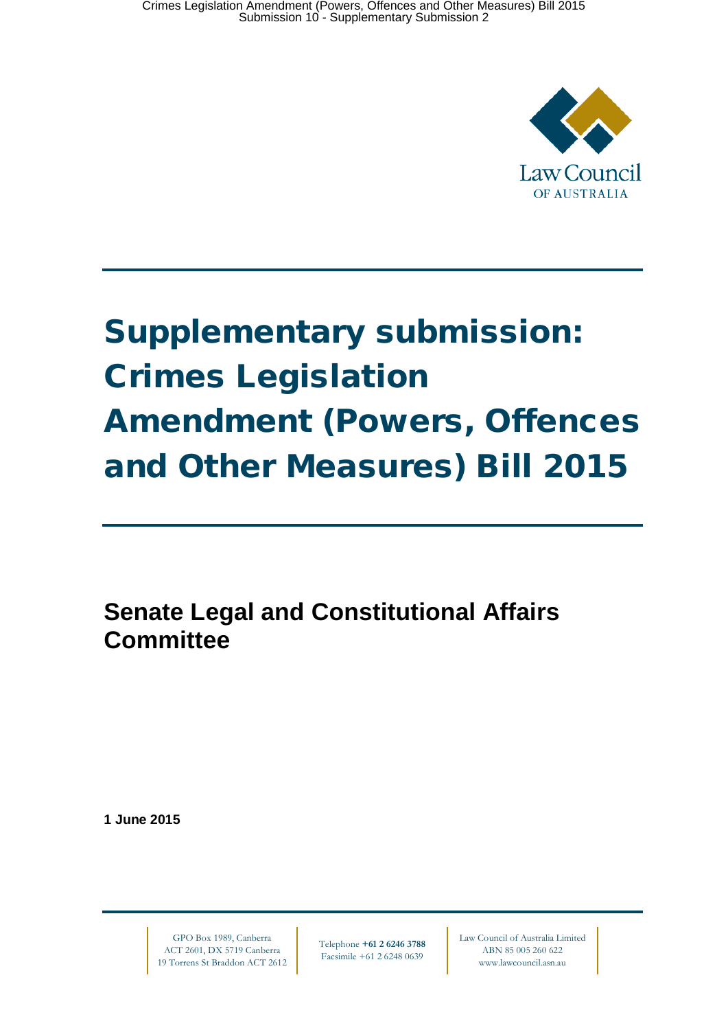

# Supplementary submission: Crimes Legislation Amendment (Powers, Offences and Other Measures) Bill 2015

**Senate Legal and Constitutional Affairs Committee**

**1 June 2015**

GPO Box 1989, Canberra ACT 2601, DX 5719 Canberra 19 Torrens St Braddon ACT 2612

Telephone **+61 2 6246 3788** Facsimile +61 2 6248 0639

Law Council of Australia Limited ABN 85 005 260 622 www.lawcouncil.asn.au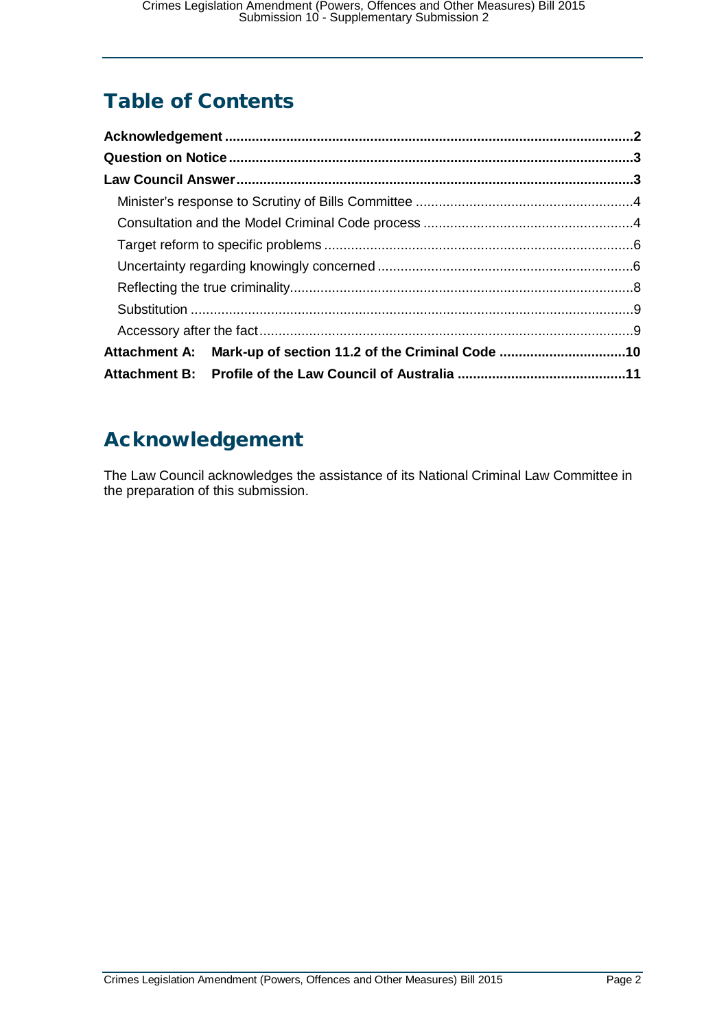## Table of Contents

| Attachment A: Mark-up of section 11.2 of the Criminal Code 10 |  |
|---------------------------------------------------------------|--|
|                                                               |  |

## <span id="page-1-0"></span>Acknowledgement

The Law Council acknowledges the assistance of its National Criminal Law Committee in the preparation of this submission.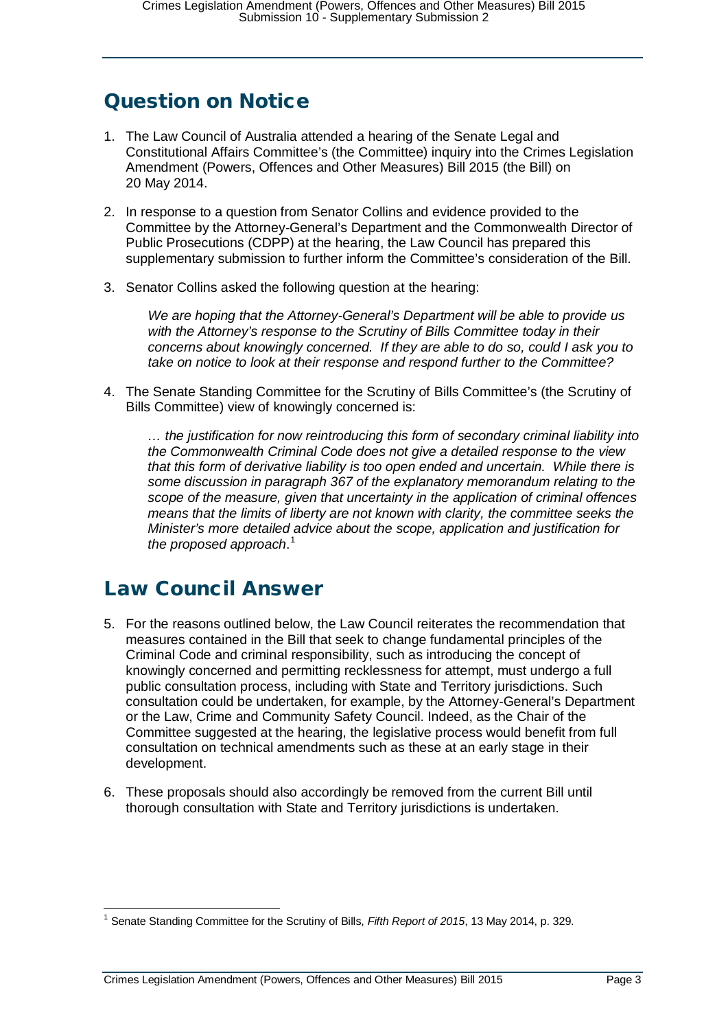## <span id="page-2-0"></span>Question on Notice

- 1. The Law Council of Australia attended a hearing of the Senate Legal and Constitutional Affairs Committee's (the Committee) inquiry into the Crimes Legislation Amendment (Powers, Offences and Other Measures) Bill 2015 (the Bill) on 20 May 2014.
- 2. In response to a question from Senator Collins and evidence provided to the Committee by the Attorney-General's Department and the Commonwealth Director of Public Prosecutions (CDPP) at the hearing, the Law Council has prepared this supplementary submission to further inform the Committee's consideration of the Bill.
- 3. Senator Collins asked the following question at the hearing:

*We are hoping that the Attorney-General's Department will be able to provide us with the Attorney's response to the Scrutiny of Bills Committee today in their concerns about knowingly concerned. If they are able to do so, could I ask you to take on notice to look at their response and respond further to the Committee?*

4. The Senate Standing Committee for the Scrutiny of Bills Committee's (the Scrutiny of Bills Committee) view of knowingly concerned is:

*… the justification for now reintroducing this form of secondary criminal liability into the Commonwealth Criminal Code does not give a detailed response to the view that this form of derivative liability is too open ended and uncertain. While there is some discussion in paragraph 367 of the explanatory memorandum relating to the scope of the measure, given that uncertainty in the application of criminal offences means that the limits of liberty are not known with clarity, the committee seeks the Minister's more detailed advice about the scope, application and justification for the proposed approach*. [1](#page-2-2)

## <span id="page-2-1"></span>Law Council Answer

- 5. For the reasons outlined below, the Law Council reiterates the recommendation that measures contained in the Bill that seek to change fundamental principles of the Criminal Code and criminal responsibility, such as introducing the concept of knowingly concerned and permitting recklessness for attempt, must undergo a full public consultation process, including with State and Territory jurisdictions. Such consultation could be undertaken, for example, by the Attorney-General's Department or the Law, Crime and Community Safety Council. Indeed, as the Chair of the Committee suggested at the hearing, the legislative process would benefit from full consultation on technical amendments such as these at an early stage in their development.
- 6. These proposals should also accordingly be removed from the current Bill until thorough consultation with State and Territory jurisdictions is undertaken.

<span id="page-2-2"></span> <sup>1</sup> Senate Standing Committee for the Scrutiny of Bills, *Fifth Report of 2015*, 13 May 2014, p. 329.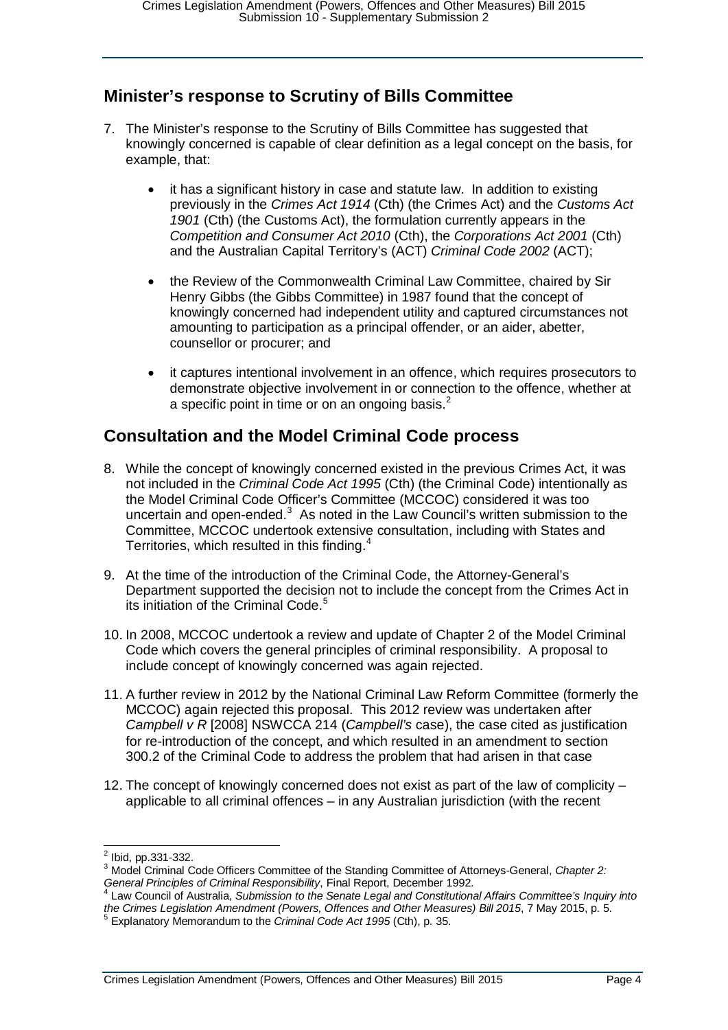#### <span id="page-3-0"></span>**Minister's response to Scrutiny of Bills Committee**

- 7. The Minister's response to the Scrutiny of Bills Committee has suggested that knowingly concerned is capable of clear definition as a legal concept on the basis, for example, that:
	- it has a significant history in case and statute law. In addition to existing previously in the *Crimes Act 1914* (Cth) (the Crimes Act) and the *Customs Act 1901* (Cth) (the Customs Act), the formulation currently appears in the *Competition and Consumer Act 2010* (Cth), the *Corporations Act 2001* (Cth) and the Australian Capital Territory's (ACT) *Criminal Code 2002* (ACT);
	- the Review of the Commonwealth Criminal Law Committee, chaired by Sir Henry Gibbs (the Gibbs Committee) in 1987 found that the concept of knowingly concerned had independent utility and captured circumstances not amounting to participation as a principal offender, or an aider, abetter, counsellor or procurer; and
	- it captures intentional involvement in an offence, which requires prosecutors to demonstrate objective involvement in or connection to the offence, whether at a specific point in time or on an ongoing basis. $2$

#### <span id="page-3-1"></span>**Consultation and the Model Criminal Code process**

- 8. While the concept of knowingly concerned existed in the previous Crimes Act, it was not included in the *Criminal Code Act 1995* (Cth) (the Criminal Code) intentionally as the Model Criminal Code Officer's Committee (MCCOC) considered it was too uncertain and open-ended. $3$  As noted in the Law Council's written submission to the Committee, MCCOC undertook extensive consultation, including with States and Territories, which resulted in this finding.<sup>[4](#page-3-4)</sup>
- 9. At the time of the introduction of the Criminal Code, the Attorney-General's Department supported the decision not to include the concept from the Crimes Act in its initiation of the Criminal Code.<sup>[5](#page-3-5)</sup>
- 10. In 2008, MCCOC undertook a review and update of Chapter 2 of the Model Criminal Code which covers the general principles of criminal responsibility. A proposal to include concept of knowingly concerned was again rejected.
- 11. A further review in 2012 by the National Criminal Law Reform Committee (formerly the MCCOC) again rejected this proposal. This 2012 review was undertaken after *Campbell v R* [2008] NSWCCA 214 (*Campbell's* case), the case cited as justification for re-introduction of the concept, and which resulted in an amendment to section 300.2 of the Criminal Code to address the problem that had arisen in that case
- 12. The concept of knowingly concerned does not exist as part of the law of complicity applicable to all criminal offences – in any Australian jurisdiction (with the recent

<span id="page-3-3"></span><span id="page-3-2"></span><sup>&</sup>lt;sup>2</sup> Ibid, pp.331-332.<br><sup>3</sup> Model Criminal Code Officers Committee of the Standing Committee of Attorneys-General, *Chapter 2:*<br>General Principles of Criminal Responsibility. Final Report. December 1992.

<span id="page-3-4"></span>Law Council of Australia, *Submission to the Senate Legal and Constitutional Affairs Committee's Inquiry into the Crimes Legislation Amendment (Powers, Offences and Other Measures) Bill 2015, 7 May 2015, p. 5.*<br><sup>5</sup> Explanatory Memorandum to the *Criminal Code Act 1995* (Cth), p. 35.

<span id="page-3-5"></span>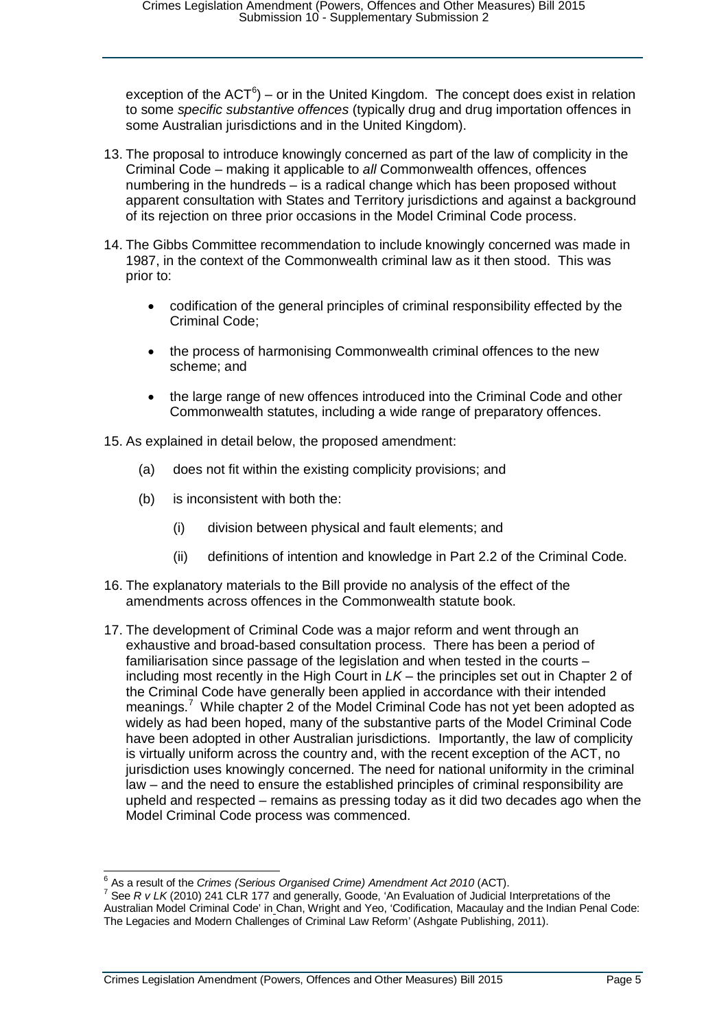exception of the  $ACT^6$  $ACT^6$ ) – or in the United Kingdom. The concept does exist in relation to some *specific substantive offences* (typically drug and drug importation offences in some Australian jurisdictions and in the United Kingdom).

- 13. The proposal to introduce knowingly concerned as part of the law of complicity in the Criminal Code – making it applicable to *all* Commonwealth offences, offences numbering in the hundreds – is a radical change which has been proposed without apparent consultation with States and Territory jurisdictions and against a background of its rejection on three prior occasions in the Model Criminal Code process.
- 14. The Gibbs Committee recommendation to include knowingly concerned was made in 1987, in the context of the Commonwealth criminal law as it then stood. This was prior to:
	- codification of the general principles of criminal responsibility effected by the Criminal Code;
	- the process of harmonising Commonwealth criminal offences to the new scheme; and
	- the large range of new offences introduced into the Criminal Code and other Commonwealth statutes, including a wide range of preparatory offences.

15. As explained in detail below, the proposed amendment:

- (a) does not fit within the existing complicity provisions; and
- (b) is inconsistent with both the:
	- (i) division between physical and fault elements; and
	- (ii) definitions of intention and knowledge in Part 2.2 of the Criminal Code.
- 16. The explanatory materials to the Bill provide no analysis of the effect of the amendments across offences in the Commonwealth statute book.
- 17. The development of Criminal Code was a major reform and went through an exhaustive and broad-based consultation process. There has been a period of familiarisation since passage of the legislation and when tested in the courts – including most recently in the High Court in *LK* – the principles set out in Chapter 2 of the Criminal Code have generally been applied in accordance with their intended meanings.<sup>[7](#page-4-1)</sup> While chapter 2 of the Model Criminal Code has not vet been adopted as widely as had been hoped, many of the substantive parts of the Model Criminal Code have been adopted in other Australian jurisdictions. Importantly, the law of complicity is virtually uniform across the country and, with the recent exception of the ACT, no jurisdiction uses knowingly concerned. The need for national uniformity in the criminal law – and the need to ensure the established principles of criminal responsibility are upheld and respected – remains as pressing today as it did two decades ago when the Model Criminal Code process was commenced.

<span id="page-4-1"></span><span id="page-4-0"></span><sup>&</sup>lt;sup>6</sup> As a result of the *Crimes (Serious Organised Crime) Amendment Act 2010* (ACT).<br><sup>7</sup> See *R v LK* (2010) 241 CLR 177 and generally, Goode, 'An Evaluation of Judicial Interpretations of the Australian Model Criminal Code' in Chan, Wright and Yeo, 'Codification, Macaulay and the Indian Penal Code: The Legacies and Modern Challenges of Criminal Law Reform' (Ashgate Publishing, 2011).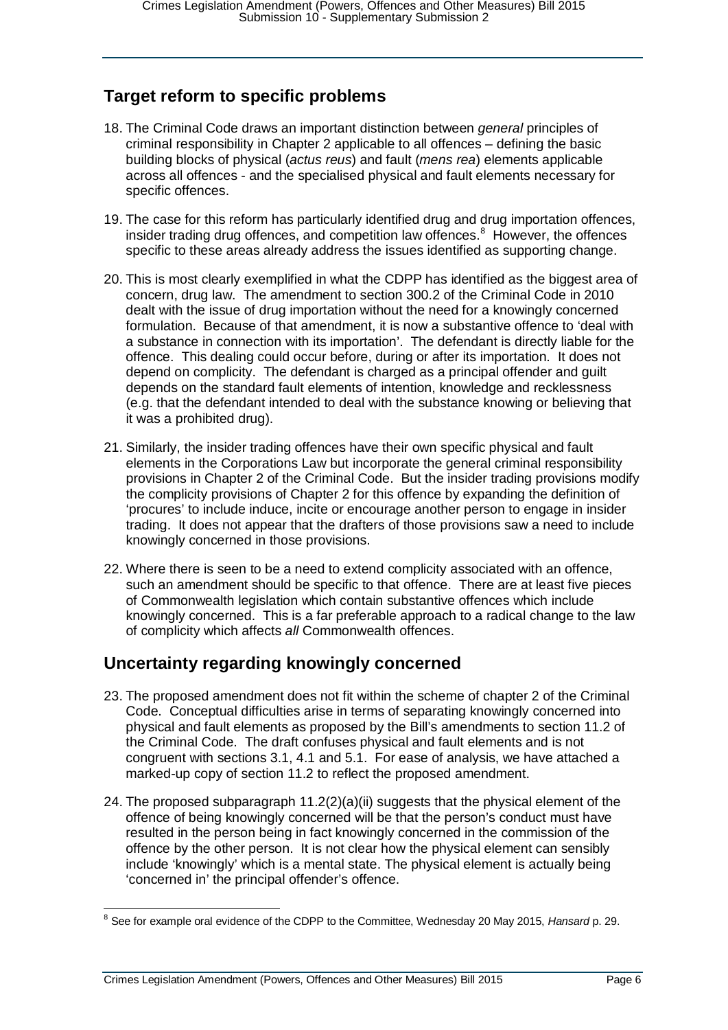#### <span id="page-5-0"></span>**Target reform to specific problems**

- 18. The Criminal Code draws an important distinction between *general* principles of criminal responsibility in Chapter 2 applicable to all offences – defining the basic building blocks of physical (*actus reus*) and fault (*mens rea*) elements applicable across all offences - and the specialised physical and fault elements necessary for specific offences.
- 19. The case for this reform has particularly identified drug and drug importation offences, insider trading drug offences, and competition law offences. $8$  However, the offences specific to these areas already address the issues identified as supporting change.
- 20. This is most clearly exemplified in what the CDPP has identified as the biggest area of concern, drug law. The amendment to section 300.2 of the Criminal Code in 2010 dealt with the issue of drug importation without the need for a knowingly concerned formulation. Because of that amendment, it is now a substantive offence to 'deal with a substance in connection with its importation'. The defendant is directly liable for the offence. This dealing could occur before, during or after its importation. It does not depend on complicity. The defendant is charged as a principal offender and guilt depends on the standard fault elements of intention, knowledge and recklessness (e.g. that the defendant intended to deal with the substance knowing or believing that it was a prohibited drug).
- 21. Similarly, the insider trading offences have their own specific physical and fault elements in the Corporations Law but incorporate the general criminal responsibility provisions in Chapter 2 of the Criminal Code. But the insider trading provisions modify the complicity provisions of Chapter 2 for this offence by expanding the definition of 'procures' to include induce, incite or encourage another person to engage in insider trading. It does not appear that the drafters of those provisions saw a need to include knowingly concerned in those provisions.
- 22. Where there is seen to be a need to extend complicity associated with an offence, such an amendment should be specific to that offence. There are at least five pieces of Commonwealth legislation which contain substantive offences which include knowingly concerned. This is a far preferable approach to a radical change to the law of complicity which affects *all* Commonwealth offences.

#### <span id="page-5-1"></span>**Uncertainty regarding knowingly concerned**

- 23. The proposed amendment does not fit within the scheme of chapter 2 of the Criminal Code. Conceptual difficulties arise in terms of separating knowingly concerned into physical and fault elements as proposed by the Bill's amendments to section 11.2 of the Criminal Code. The draft confuses physical and fault elements and is not congruent with sections 3.1, 4.1 and 5.1. For ease of analysis, we have attached a marked-up copy of section 11.2 to reflect the proposed amendment.
- 24. The proposed subparagraph  $11.2(2)(a)(ii)$  suggests that the physical element of the offence of being knowingly concerned will be that the person's conduct must have resulted in the person being in fact knowingly concerned in the commission of the offence by the other person. It is not clear how the physical element can sensibly include 'knowingly' which is a mental state. The physical element is actually being 'concerned in' the principal offender's offence.

<span id="page-5-2"></span> <sup>8</sup> See for example oral evidence of the CDPP to the Committee, Wednesday 20 May 2015, *Hansard* p. 29.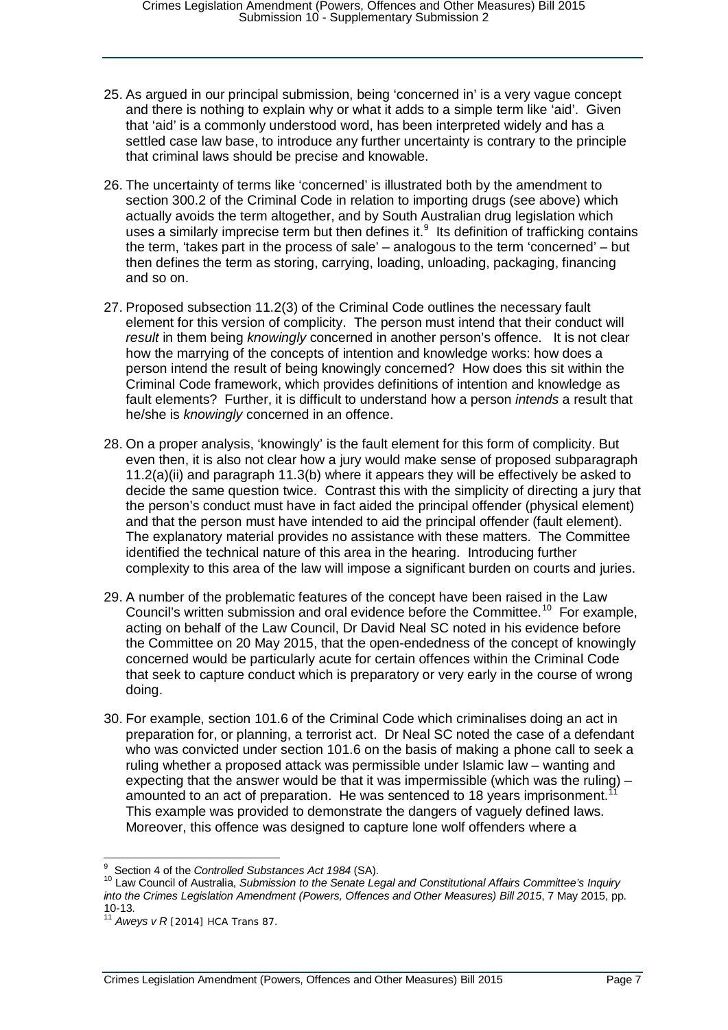- 25. As argued in our principal submission, being 'concerned in' is a very vague concept and there is nothing to explain why or what it adds to a simple term like 'aid'. Given that 'aid' is a commonly understood word, has been interpreted widely and has a settled case law base, to introduce any further uncertainty is contrary to the principle that criminal laws should be precise and knowable.
- 26. The uncertainty of terms like 'concerned' is illustrated both by the amendment to section 300.2 of the Criminal Code in relation to importing drugs (see above) which actually avoids the term altogether, and by South Australian drug legislation which uses a similarly imprecise term but then defines it. $<sup>9</sup>$  $<sup>9</sup>$  $<sup>9</sup>$  Its definition of trafficking contains</sup> the term, 'takes part in the process of sale' – analogous to the term 'concerned' – but then defines the term as storing, carrying, loading, unloading, packaging, financing and so on.
- 27. Proposed subsection 11.2(3) of the Criminal Code outlines the necessary fault element for this version of complicity. The person must intend that their conduct will *result* in them being *knowingly* concerned in another person's offence. It is not clear how the marrying of the concepts of intention and knowledge works: how does a person intend the result of being knowingly concerned? How does this sit within the Criminal Code framework, which provides definitions of intention and knowledge as fault elements? Further, it is difficult to understand how a person *intends* a result that he/she is *knowingly* concerned in an offence.
- 28. On a proper analysis, 'knowingly' is the fault element for this form of complicity. But even then, it is also not clear how a jury would make sense of proposed subparagraph 11.2(a)(ii) and paragraph 11.3(b) where it appears they will be effectively be asked to decide the same question twice. Contrast this with the simplicity of directing a jury that the person's conduct must have in fact aided the principal offender (physical element) and that the person must have intended to aid the principal offender (fault element). The explanatory material provides no assistance with these matters. The Committee identified the technical nature of this area in the hearing. Introducing further complexity to this area of the law will impose a significant burden on courts and juries.
- 29. A number of the problematic features of the concept have been raised in the Law Council's written submission and oral evidence before the Committee.<sup>[10](#page-6-1)</sup> For example, acting on behalf of the Law Council, Dr David Neal SC noted in his evidence before the Committee on 20 May 2015, that the open-endedness of the concept of knowingly concerned would be particularly acute for certain offences within the Criminal Code that seek to capture conduct which is preparatory or very early in the course of wrong doing.
- 30. For example, section 101.6 of the Criminal Code which criminalises doing an act in preparation for, or planning, a terrorist act. Dr Neal SC noted the case of a defendant who was convicted under section 101.6 on the basis of making a phone call to seek a ruling whether a proposed attack was permissible under Islamic law – wanting and expecting that the answer would be that it was impermissible (which was the ruling)  $$ amounted to an act of preparation. He was sentenced to 18 years imprisonment. This example was provided to demonstrate the dangers of vaguely defined laws. Moreover, this offence was designed to capture lone wolf offenders where a

<span id="page-6-0"></span><sup>&</sup>lt;sup>9</sup> Section 4 of the Controlled Substances Act 1984 (SA).

<span id="page-6-1"></span>Section 4 of the *Controlled Substances Act 1984* (SA). <sup>10</sup> Law Council of Australia, *Submission to the Senate Legal and Constitutional Affairs Committee's Inquiry*  into the Crimes Legislation Amendment (Powers, Offences and Other Measures) Bill 2015, 7 May 2015, pp.<br>10-13.

<span id="page-6-2"></span><sup>&</sup>lt;sup>11</sup> *Aweys v R* [2014] HCA Trans 87.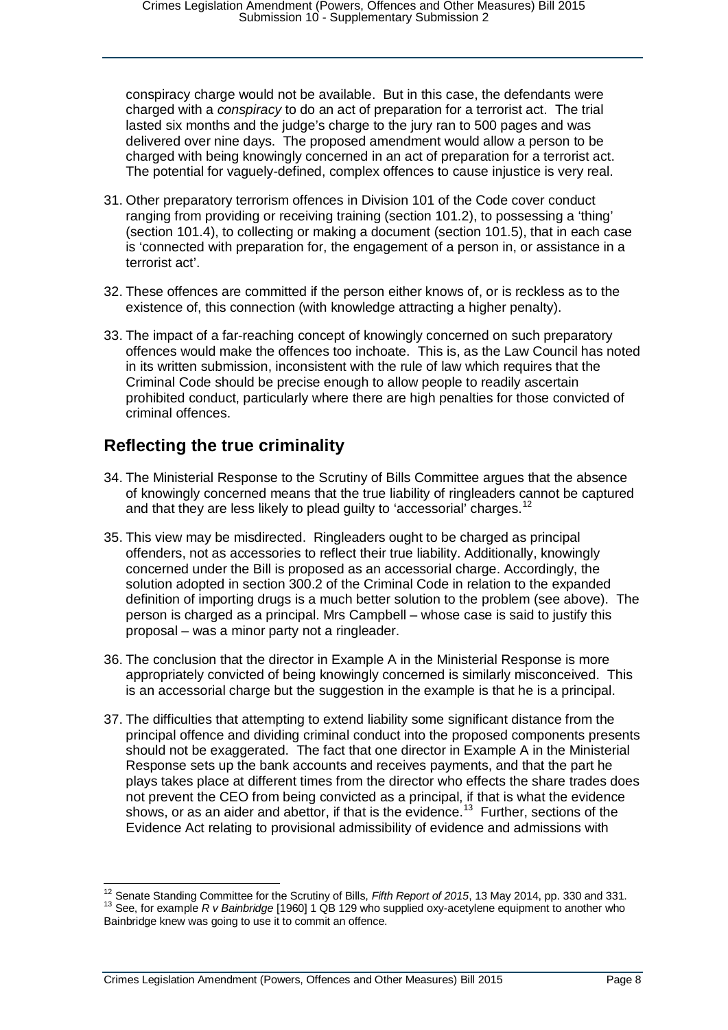conspiracy charge would not be available. But in this case, the defendants were charged with a *conspiracy* to do an act of preparation for a terrorist act. The trial lasted six months and the judge's charge to the jury ran to 500 pages and was delivered over nine days. The proposed amendment would allow a person to be charged with being knowingly concerned in an act of preparation for a terrorist act. The potential for vaguely-defined, complex offences to cause injustice is very real.

- 31. Other preparatory terrorism offences in Division 101 of the Code cover conduct ranging from providing or receiving training (section 101.2), to possessing a 'thing' (section 101.4), to collecting or making a document (section 101.5), that in each case is 'connected with preparation for, the engagement of a person in, or assistance in a terrorist act'.
- 32. These offences are committed if the person either knows of, or is reckless as to the existence of, this connection (with knowledge attracting a higher penalty).
- 33. The impact of a far-reaching concept of knowingly concerned on such preparatory offences would make the offences too inchoate. This is, as the Law Council has noted in its written submission, inconsistent with the rule of law which requires that the Criminal Code should be precise enough to allow people to readily ascertain prohibited conduct, particularly where there are high penalties for those convicted of criminal offences.

#### <span id="page-7-0"></span>**Reflecting the true criminality**

- 34. The Ministerial Response to the Scrutiny of Bills Committee argues that the absence of knowingly concerned means that the true liability of ringleaders cannot be captured and that they are less likely to plead guilty to 'accessorial' charges.<sup>[12](#page-7-1)</sup>
- 35. This view may be misdirected. Ringleaders ought to be charged as principal offenders, not as accessories to reflect their true liability. Additionally, knowingly concerned under the Bill is proposed as an accessorial charge. Accordingly, the solution adopted in section 300.2 of the Criminal Code in relation to the expanded definition of importing drugs is a much better solution to the problem (see above). The person is charged as a principal. Mrs Campbell – whose case is said to justify this proposal – was a minor party not a ringleader.
- 36. The conclusion that the director in Example A in the Ministerial Response is more appropriately convicted of being knowingly concerned is similarly misconceived. This is an accessorial charge but the suggestion in the example is that he is a principal.
- 37. The difficulties that attempting to extend liability some significant distance from the principal offence and dividing criminal conduct into the proposed components presents should not be exaggerated. The fact that one director in Example A in the Ministerial Response sets up the bank accounts and receives payments, and that the part he plays takes place at different times from the director who effects the share trades does not prevent the CEO from being convicted as a principal, if that is what the evidence shows, or as an aider and abettor, if that is the evidence.<sup>13</sup> Further, sections of the Evidence Act relating to provisional admissibility of evidence and admissions with

<span id="page-7-2"></span><span id="page-7-1"></span><sup>&</sup>lt;sup>12</sup> Senate Standing Committee for the Scrutiny of Bills, *Fifth Report of 2015*, 13 May 2014, pp. 330 and 331.<br><sup>13</sup> See, for example *R v Bainbridge* [1960] 1 QB 129 who supplied oxy-acetylene equipment to another who Bainbridge knew was going to use it to commit an offence.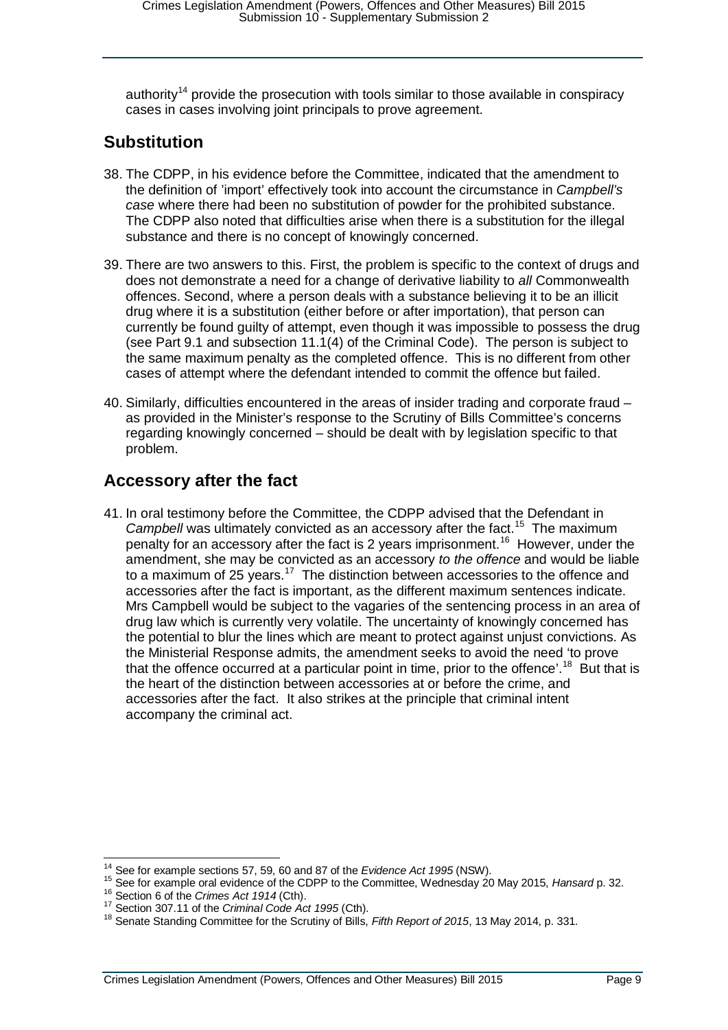authority<sup>[14](#page-8-2)</sup> provide the prosecution with tools similar to those available in conspiracy cases in cases involving joint principals to prove agreement.

#### <span id="page-8-0"></span>**Substitution**

- 38. The CDPP, in his evidence before the Committee, indicated that the amendment to the definition of 'import' effectively took into account the circumstance in *Campbell's case* where there had been no substitution of powder for the prohibited substance. The CDPP also noted that difficulties arise when there is a substitution for the illegal substance and there is no concept of knowingly concerned.
- 39. There are two answers to this. First, the problem is specific to the context of drugs and does not demonstrate a need for a change of derivative liability to *all* Commonwealth offences. Second, where a person deals with a substance believing it to be an illicit drug where it is a substitution (either before or after importation), that person can currently be found guilty of attempt, even though it was impossible to possess the drug (see Part 9.1 and subsection 11.1(4) of the Criminal Code). The person is subject to the same maximum penalty as the completed offence. This is no different from other cases of attempt where the defendant intended to commit the offence but failed.
- 40. Similarly, difficulties encountered in the areas of insider trading and corporate fraud as provided in the Minister's response to the Scrutiny of Bills Committee's concerns regarding knowingly concerned – should be dealt with by legislation specific to that problem.

#### <span id="page-8-1"></span>**Accessory after the fact**

41. In oral testimony before the Committee, the CDPP advised that the Defendant in *Campbell* was ultimately convicted as an accessory after the fact.<sup>15</sup> The maximum penalty for an accessory after the fact is 2 years imprisonment.[16](#page-8-4) However, under the amendment, she may be convicted as an accessory *to the offence* and would be liable to a maximum of 25 years.<sup>17</sup> The distinction between accessories to the offence and accessories after the fact is important, as the different maximum sentences indicate. Mrs Campbell would be subject to the vagaries of the sentencing process in an area of drug law which is currently very volatile. The uncertainty of knowingly concerned has the potential to blur the lines which are meant to protect against unjust convictions. As the Ministerial Response admits, the amendment seeks to avoid the need 'to prove that the offence occurred at a particular point in time, prior to the offence'.<sup>[18](#page-8-6)</sup> But that is the heart of the distinction between accessories at or before the crime, and accessories after the fact. It also strikes at the principle that criminal intent accompany the criminal act.

<span id="page-8-3"></span><span id="page-8-2"></span><sup>&</sup>lt;sup>14</sup> See for example sections 57, 59, 60 and 87 of the *Evidence Act 1995* (NSW).<br><sup>15</sup> See for example oral evidence of the CDPP to the Committee, Wednesday 20 May 2015, *Hansard* p. 32.<br><sup>16</sup> Section 6 of the *Crimes Act* 

<span id="page-8-5"></span><span id="page-8-4"></span>

<span id="page-8-6"></span>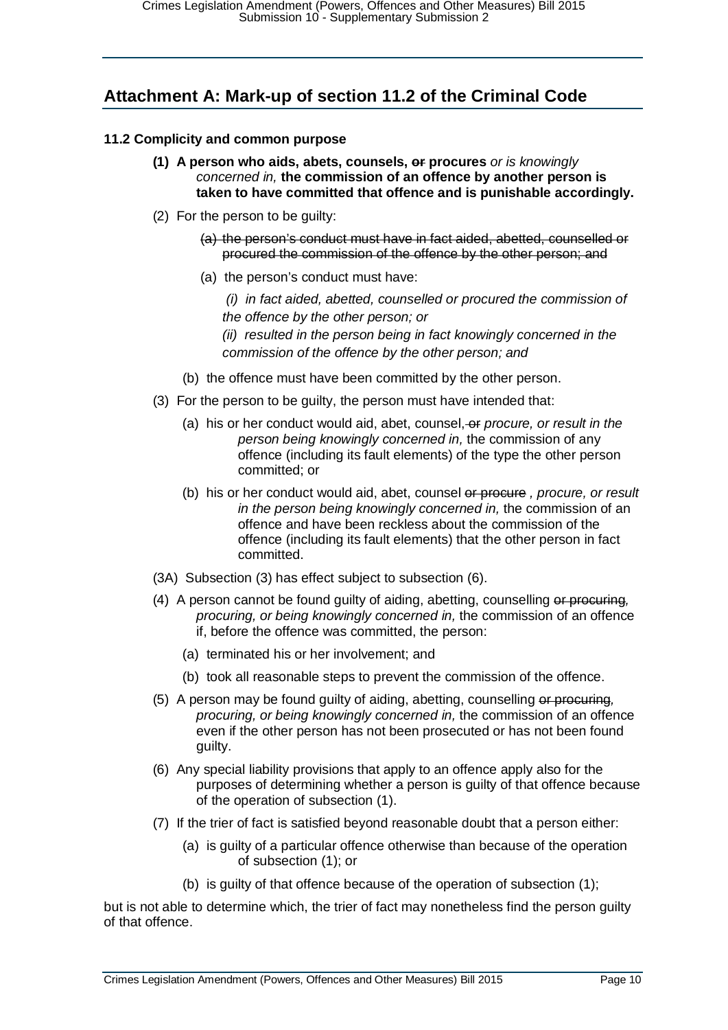### <span id="page-9-0"></span>**Attachment A: Mark-up of section 11.2 of the Criminal Code**

#### **11.2 Complicity and common purpose**

- **(1) A person who aids, abets, counsels, or procures** *or is knowingly concerned in,* **the commission of an offence by another person is taken to have committed that offence and is punishable accordingly.**
- (2) For the person to be guilty:
	- (a) the person's conduct must have in fact aided, abetted, counselled or procured the commission of the offence by the other person; and
	- (a) the person's conduct must have:
		- *(i) in fact aided, abetted, counselled or procured the commission of the offence by the other person; or*

*(ii) resulted in the person being in fact knowingly concerned in the commission of the offence by the other person; and*

- (b) the offence must have been committed by the other person.
- (3) For the person to be guilty, the person must have intended that:
	- (a) his or her conduct would aid, abet, counsel, or *procure, or result in the person being knowingly concerned in,* the commission of any offence (including its fault elements) of the type the other person committed; or
	- (b) his or her conduct would aid, abet, counsel or procure *, procure, or result in the person being knowingly concerned in,* the commission of an offence and have been reckless about the commission of the offence (including its fault elements) that the other person in fact committed.
- (3A) Subsection (3) has effect subject to subsection (6).
- (4) A person cannot be found guilty of aiding, abetting, counselling or procuring*, procuring, or being knowingly concerned in,* the commission of an offence if, before the offence was committed, the person:
	- (a) terminated his or her involvement; and
	- (b) took all reasonable steps to prevent the commission of the offence.
- (5) A person may be found guilty of aiding, abetting, counselling or procuring*, procuring, or being knowingly concerned in,* the commission of an offence even if the other person has not been prosecuted or has not been found guilty.
- (6) Any special liability provisions that apply to an offence apply also for the purposes of determining whether a person is guilty of that offence because of the operation of subsection (1).
- (7) If the trier of fact is satisfied beyond reasonable doubt that a person either:
	- (a) is guilty of a particular offence otherwise than because of the operation of subsection (1); or
	- (b) is guilty of that offence because of the operation of subsection (1);

but is not able to determine which, the trier of fact may nonetheless find the person guilty of that offence.